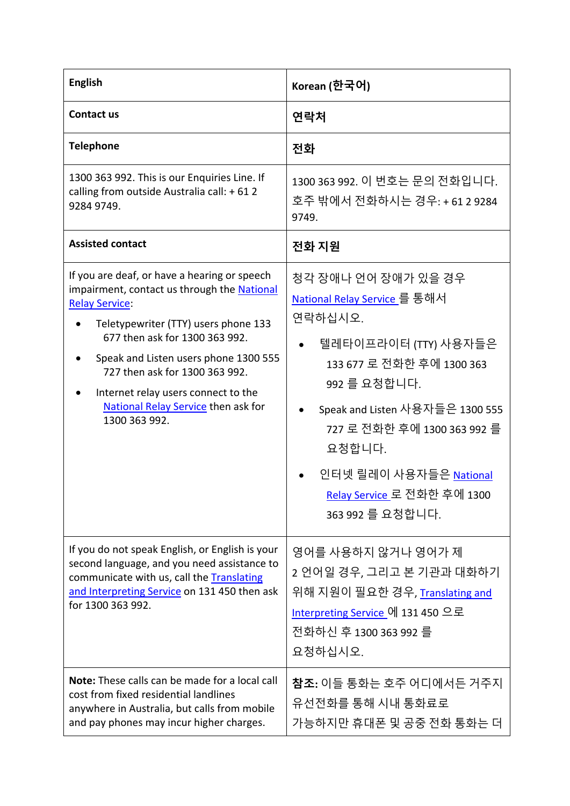| <b>English</b>                                                                                                                                                                                                                                                                                                                                                           | Korean (한국어)                                                                                                                                                                                                                                                                                         |
|--------------------------------------------------------------------------------------------------------------------------------------------------------------------------------------------------------------------------------------------------------------------------------------------------------------------------------------------------------------------------|------------------------------------------------------------------------------------------------------------------------------------------------------------------------------------------------------------------------------------------------------------------------------------------------------|
| <b>Contact us</b>                                                                                                                                                                                                                                                                                                                                                        | 연락처                                                                                                                                                                                                                                                                                                  |
| <b>Telephone</b>                                                                                                                                                                                                                                                                                                                                                         | 전화                                                                                                                                                                                                                                                                                                   |
| 1300 363 992. This is our Enquiries Line. If<br>calling from outside Australia call: +612<br>9284 9749.                                                                                                                                                                                                                                                                  | 1300 363 992. 이 번호는 문의 전화입니다.<br>호주 밖에서 전화하시는 경우: + 61 2 9284<br>9749.                                                                                                                                                                                                                               |
| <b>Assisted contact</b>                                                                                                                                                                                                                                                                                                                                                  | 전화 지원                                                                                                                                                                                                                                                                                                |
| If you are deaf, or have a hearing or speech<br>impairment, contact us through the National<br><b>Relay Service:</b><br>Teletypewriter (TTY) users phone 133<br>677 then ask for 1300 363 992.<br>Speak and Listen users phone 1300 555<br>727 then ask for 1300 363 992.<br>Internet relay users connect to the<br>National Relay Service then ask for<br>1300 363 992. | 청각 장애나 언어 장애가 있을 경우<br><u>National Relay Service </u> 를 통해서<br>연락하십시오.<br>텔레타이프라이터 (TTY) 사용자들은<br>133 677 로 전화한 후에 1300 363<br>992 를 요청합니다.<br>Speak and Listen 사용자들은 1300 555<br>727 로 전화한 후에 1300 363 992 를<br>요청합니다.<br>인터넷 릴레이 사용자들은 National<br>Relay Service 로 전화한 후에 1300<br>363 992 를 요청합니다. |
| If you do not speak English, or English is your<br>second language, and you need assistance to<br>communicate with us, call the Translating<br>and Interpreting Service on 131 450 then ask<br>for 1300 363 992.                                                                                                                                                         | 영어를 사용하지 않거나 영어가 제<br>2 언어일 경우, 그리고 본 기관과 대화하기<br>위해 지원이 필요한 경우, <u>Translating and</u><br><u>Interpreting Service </u> 에 131 450 으로<br>전화하신 후 1300 363 992 를<br>요청하십시오.                                                                                                                             |
| Note: These calls can be made for a local call<br>cost from fixed residential landlines<br>anywhere in Australia, but calls from mobile<br>and pay phones may incur higher charges.                                                                                                                                                                                      | <b>참조:</b> 이들 통화는 호주 어디에서든 거주지<br>유선전화를 통해 시내 통화료로<br>가능하지만 휴대폰 및 공중 전화 통화는 더                                                                                                                                                                                                                        |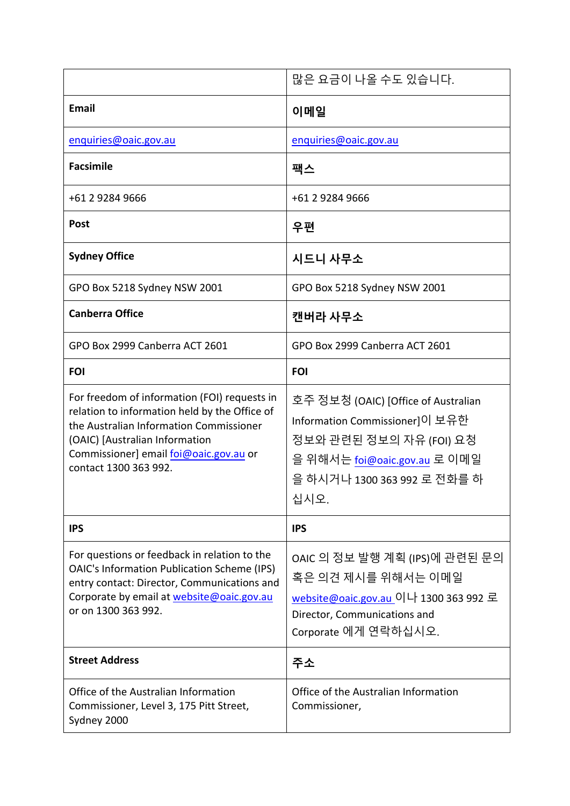|                                                                                                                                                                                                                                               | 많은 요금이 나올 수도 있습니다.                                                                                                                                                             |
|-----------------------------------------------------------------------------------------------------------------------------------------------------------------------------------------------------------------------------------------------|--------------------------------------------------------------------------------------------------------------------------------------------------------------------------------|
| <b>Email</b>                                                                                                                                                                                                                                  | 이메일                                                                                                                                                                            |
| enquiries@oaic.gov.au                                                                                                                                                                                                                         | enquiries@oaic.gov.au                                                                                                                                                          |
| <b>Facsimile</b>                                                                                                                                                                                                                              | 팩스                                                                                                                                                                             |
| +61 2 9284 9666                                                                                                                                                                                                                               | +61 2 9284 9666                                                                                                                                                                |
| <b>Post</b>                                                                                                                                                                                                                                   | 우편                                                                                                                                                                             |
| <b>Sydney Office</b>                                                                                                                                                                                                                          | 시드니 사무소                                                                                                                                                                        |
| GPO Box 5218 Sydney NSW 2001                                                                                                                                                                                                                  | GPO Box 5218 Sydney NSW 2001                                                                                                                                                   |
| <b>Canberra Office</b>                                                                                                                                                                                                                        | 캔버라 사무소                                                                                                                                                                        |
| GPO Box 2999 Canberra ACT 2601                                                                                                                                                                                                                | GPO Box 2999 Canberra ACT 2601                                                                                                                                                 |
| <b>FOI</b>                                                                                                                                                                                                                                    | <b>FOI</b>                                                                                                                                                                     |
| For freedom of information (FOI) requests in<br>relation to information held by the Office of<br>the Australian Information Commissioner<br>(OAIC) [Australian Information<br>Commissioner] email foi@oaic.gov.au or<br>contact 1300 363 992. | 호주 정보청 (OAIC) [Office of Australian<br>Information Commissioner]이 보유한<br>정보와 관련된 정보의 자유 (FOI) 요청<br>을 위해서는 <u>foi@oaic.gov.au</u> 로 이메일<br>을 하시거나 1300 363 992 로 전화를 하<br>십시오. |
| <b>IPS</b>                                                                                                                                                                                                                                    | <b>IPS</b>                                                                                                                                                                     |
| For questions or feedback in relation to the<br><b>OAIC's Information Publication Scheme (IPS)</b><br>entry contact: Director, Communications and<br>Corporate by email at website@oaic.gov.au<br>or on 1300 363 992.                         | OAIC 의 정보 발행 계획 (IPS)에 관련된 문의<br>혹은 의견 제시를 위해서는 이메일<br>website@oaic.gov.au 이나 1300 363 992 로<br>Director, Communications and<br>Corporate 에게 연락하십시오.                           |
| <b>Street Address</b>                                                                                                                                                                                                                         | 주소                                                                                                                                                                             |
| Office of the Australian Information<br>Commissioner, Level 3, 175 Pitt Street,<br>Sydney 2000                                                                                                                                                | Office of the Australian Information<br>Commissioner,                                                                                                                          |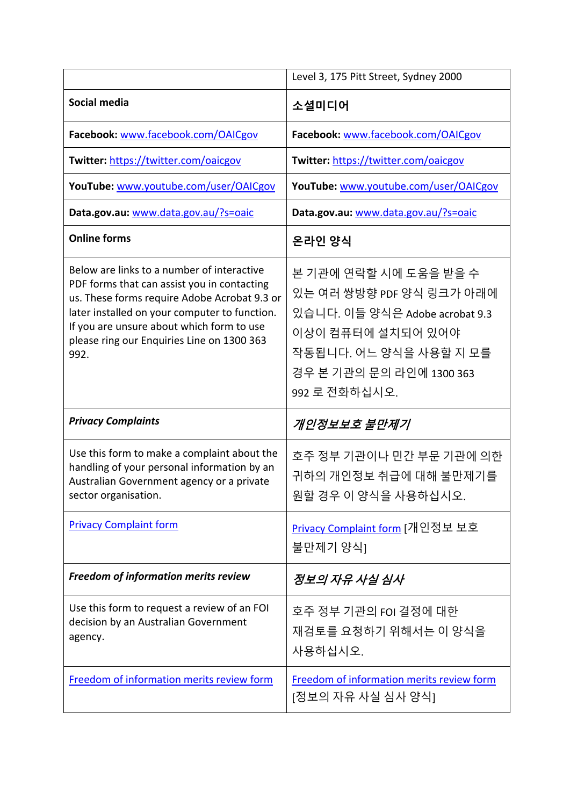|                                                                                                                                                                                                                                                                                               | Level 3, 175 Pitt Street, Sydney 2000                                                                                                                                           |
|-----------------------------------------------------------------------------------------------------------------------------------------------------------------------------------------------------------------------------------------------------------------------------------------------|---------------------------------------------------------------------------------------------------------------------------------------------------------------------------------|
| Social media                                                                                                                                                                                                                                                                                  | 소셜미디어                                                                                                                                                                           |
| Facebook: www.facebook.com/OAICgov                                                                                                                                                                                                                                                            | Facebook: www.facebook.com/OAICgov                                                                                                                                              |
| Twitter: https://twitter.com/oaicgov                                                                                                                                                                                                                                                          | Twitter: https://twitter.com/oaicgov                                                                                                                                            |
| YouTube: www.youtube.com/user/OAICgov                                                                                                                                                                                                                                                         | YouTube: www.youtube.com/user/OAICgov                                                                                                                                           |
| Data.gov.au: www.data.gov.au/?s=oaic                                                                                                                                                                                                                                                          | Data.gov.au: www.data.gov.au/?s=oaic                                                                                                                                            |
| <b>Online forms</b>                                                                                                                                                                                                                                                                           | 온라인 양식                                                                                                                                                                          |
| Below are links to a number of interactive<br>PDF forms that can assist you in contacting<br>us. These forms require Adobe Acrobat 9.3 or<br>later installed on your computer to function.<br>If you are unsure about which form to use<br>please ring our Enquiries Line on 1300 363<br>992. | 본 기관에 연락할 시에 도움을 받을 수<br>있는 여러 쌍방향 PDF 양식 링크가 아래에<br>있습니다. 이들 양식은 Adobe acrobat 9.3<br>이상이 컴퓨터에 설치되어 있어야<br>작동됩니다. 어느 양식을 사용할 지 모를<br>경우 본 기관의 문의 라인에 1300 363<br>992 로 전화하십시오. |
| <b>Privacy Complaints</b>                                                                                                                                                                                                                                                                     | 개인정보보호 불만제기                                                                                                                                                                     |
| Use this form to make a complaint about the<br>handling of your personal information by an<br>Australian Government agency or a private<br>sector organisation.                                                                                                                               | 호주 정부 기관이나 민간 부문 기관에 의한<br>귀하의 개인정보 취급에 대해 불만제기를<br>원할 경우 이 양식을 사용하십시오.                                                                                                         |
| <b>Privacy Complaint form</b>                                                                                                                                                                                                                                                                 | <u>Privacy Complaint form</u> [개인정보 보호<br>불만제기 양식]                                                                                                                              |
| <b>Freedom of information merits review</b>                                                                                                                                                                                                                                                   | 정보의 자유 사실 심사                                                                                                                                                                    |
| Use this form to request a review of an FOI<br>decision by an Australian Government<br>agency.                                                                                                                                                                                                | 호주 정부 기관의 FOI 결정에 대한<br>재검토를 요청하기 위해서는 이 양식을<br>사용하십시오.                                                                                                                         |
| Freedom of information merits review form                                                                                                                                                                                                                                                     | Freedom of information merits review form<br>[정보의 자유 사실 심사 양식]                                                                                                                  |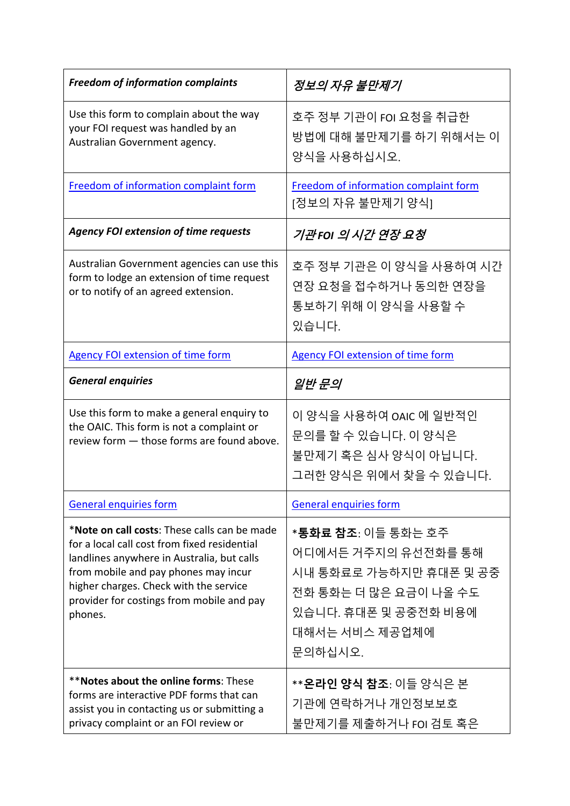| <b>Freedom of information complaints</b>                                                                                                                                                                                                                                             | 정보의 자유 불만제기                                                                                                                                                |
|--------------------------------------------------------------------------------------------------------------------------------------------------------------------------------------------------------------------------------------------------------------------------------------|------------------------------------------------------------------------------------------------------------------------------------------------------------|
| Use this form to complain about the way<br>your FOI request was handled by an<br>Australian Government agency.                                                                                                                                                                       | 호주 정부 기관이 FOI 요청을 취급한<br>방법에 대해 불만제기를 하기 위해서는 이<br>양식을 사용하십시오.                                                                                             |
| Freedom of information complaint form                                                                                                                                                                                                                                                | Freedom of information complaint form<br>[정보의 자유 불만제기 양식]                                                                                                  |
| <b>Agency FOI extension of time requests</b>                                                                                                                                                                                                                                         | 기관FOI 의 시간 연장 요청                                                                                                                                           |
| Australian Government agencies can use this<br>form to lodge an extension of time request<br>or to notify of an agreed extension.                                                                                                                                                    | 호주 정부 기관은 이 양식을 사용하여 시간<br>연장 요청을 접수하거나 동의한 연장을<br>통보하기 위해 이 양식을 사용할 수<br>있습니다.                                                                            |
| <b>Agency FOI extension of time form</b>                                                                                                                                                                                                                                             | <b>Agency FOI extension of time form</b>                                                                                                                   |
| <b>General enquiries</b>                                                                                                                                                                                                                                                             | 일반 문의                                                                                                                                                      |
| Use this form to make a general enquiry to<br>the OAIC. This form is not a complaint or<br>review form - those forms are found above.                                                                                                                                                | 이 양식을 사용하여 OAIC 에 일반적인<br>문의를 할 수 있습니다. 이 양식은<br>불만제기 혹은 심사 양식이 아닙니다.<br>그러한 양식은 위에서 찾을 수 있습니다.                                                            |
| <b>General enquiries form</b>                                                                                                                                                                                                                                                        | <b>General enquiries form</b>                                                                                                                              |
| *Note on call costs: These calls can be made<br>for a local call cost from fixed residential<br>landlines anywhere in Australia, but calls<br>from mobile and pay phones may incur<br>higher charges. Check with the service<br>provider for costings from mobile and pay<br>phones. | * <b>통화료 참조</b> : 이들 통화는 호주<br>어디에서든 거주지의 유선전화를 통해<br>시내 통화료로 가능하지만 휴대폰 및 공중<br>전화 통화는 더 많은 요금이 나올 수도<br>있습니다. 휴대폰 및 공중전화 비용에<br>대해서는 서비스 제공업체에<br>문의하십시오. |
| **Notes about the online forms: These<br>forms are interactive PDF forms that can<br>assist you in contacting us or submitting a<br>privacy complaint or an FOI review or                                                                                                            | ** <b>온라인 양식 참조</b> : 이들 양식은 본<br>기관에 연락하거나 개인정보보호<br>불만제기를 제출하거나 FOI 검토 혹은                                                                                |